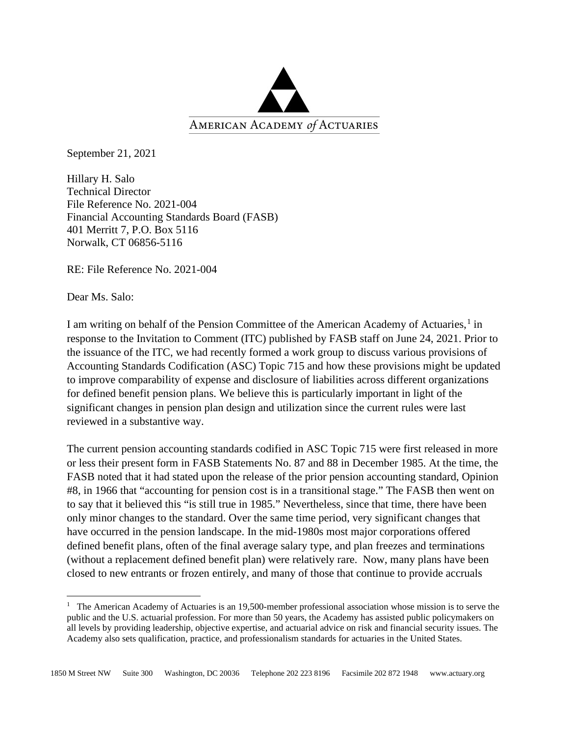

September 21, 2021

Hillary H. Salo Technical Director File Reference No. 2021-004 Financial Accounting Standards Board (FASB) 401 Merritt 7, P.O. Box 5116 Norwalk, CT 06856-5116

RE: File Reference No. 2021-004

Dear Ms. Salo:

I am writing on behalf of the Pension Committee of the American Academy of Actuaries,<sup>[1](#page-0-0)</sup> in response to the Invitation to Comment (ITC) published by FASB staff on June 24, 2021. Prior to the issuance of the ITC, we had recently formed a work group to discuss various provisions of Accounting Standards Codification (ASC) Topic 715 and how these provisions might be updated to improve comparability of expense and disclosure of liabilities across different organizations for defined benefit pension plans. We believe this is particularly important in light of the significant changes in pension plan design and utilization since the current rules were last reviewed in a substantive way.

The current pension accounting standards codified in ASC Topic 715 were first released in more or less their present form in FASB Statements No. 87 and 88 in December 1985. At the time, the FASB noted that it had stated upon the release of the prior pension accounting standard, Opinion #8, in 1966 that "accounting for pension cost is in a transitional stage." The FASB then went on to say that it believed this "is still true in 1985." Nevertheless, since that time, there have been only minor changes to the standard. Over the same time period, very significant changes that have occurred in the pension landscape. In the mid-1980s most major corporations offered defined benefit plans, often of the final average salary type, and plan freezes and terminations (without a replacement defined benefit plan) were relatively rare. Now, many plans have been closed to new entrants or frozen entirely, and many of those that continue to provide accruals

<span id="page-0-0"></span><sup>&</sup>lt;sup>1</sup> The American Academy of Actuaries is an 19,500-member professional association whose mission is to serve the public and the U.S. actuarial profession. For more than 50 years, the Academy has assisted public policymakers on all levels by providing leadership, objective expertise, and actuarial advice on risk and financial security issues. The Academy also sets qualification, practice, and professionalism standards for actuaries in the United States.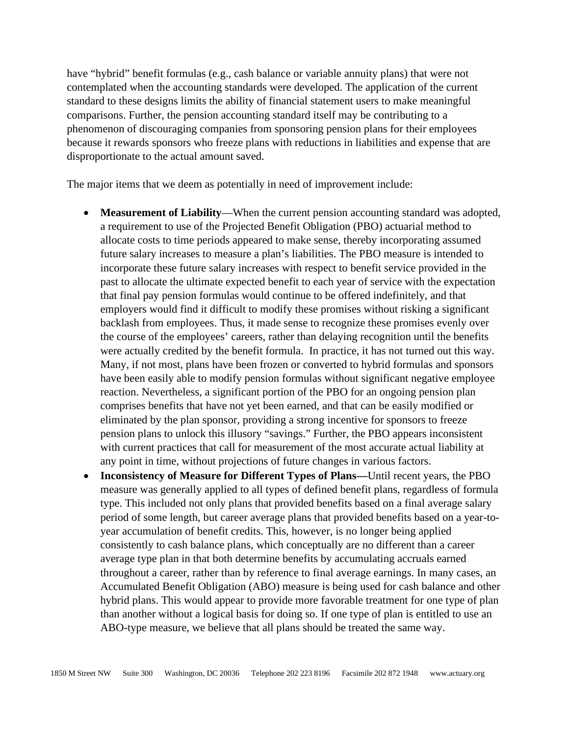have "hybrid" benefit formulas (e.g., cash balance or variable annuity plans) that were not contemplated when the accounting standards were developed. The application of the current standard to these designs limits the ability of financial statement users to make meaningful comparisons. Further, the pension accounting standard itself may be contributing to a phenomenon of discouraging companies from sponsoring pension plans for their employees because it rewards sponsors who freeze plans with reductions in liabilities and expense that are disproportionate to the actual amount saved.

The major items that we deem as potentially in need of improvement include:

- **Measurement of Liability—When the current pension accounting standard was adopted,** a requirement to use of the Projected Benefit Obligation (PBO) actuarial method to allocate costs to time periods appeared to make sense, thereby incorporating assumed future salary increases to measure a plan's liabilities. The PBO measure is intended to incorporate these future salary increases with respect to benefit service provided in the past to allocate the ultimate expected benefit to each year of service with the expectation that final pay pension formulas would continue to be offered indefinitely, and that employers would find it difficult to modify these promises without risking a significant backlash from employees. Thus, it made sense to recognize these promises evenly over the course of the employees' careers, rather than delaying recognition until the benefits were actually credited by the benefit formula. In practice, it has not turned out this way. Many, if not most, plans have been frozen or converted to hybrid formulas and sponsors have been easily able to modify pension formulas without significant negative employee reaction. Nevertheless, a significant portion of the PBO for an ongoing pension plan comprises benefits that have not yet been earned, and that can be easily modified or eliminated by the plan sponsor, providing a strong incentive for sponsors to freeze pension plans to unlock this illusory "savings." Further, the PBO appears inconsistent with current practices that call for measurement of the most accurate actual liability at any point in time, without projections of future changes in various factors.
- **Inconsistency of Measure for Different Types of Plans—**Until recent years, the PBO measure was generally applied to all types of defined benefit plans, regardless of formula type. This included not only plans that provided benefits based on a final average salary period of some length, but career average plans that provided benefits based on a year-toyear accumulation of benefit credits. This, however, is no longer being applied consistently to cash balance plans, which conceptually are no different than a career average type plan in that both determine benefits by accumulating accruals earned throughout a career, rather than by reference to final average earnings. In many cases, an Accumulated Benefit Obligation (ABO) measure is being used for cash balance and other hybrid plans. This would appear to provide more favorable treatment for one type of plan than another without a logical basis for doing so. If one type of plan is entitled to use an ABO-type measure, we believe that all plans should be treated the same way.